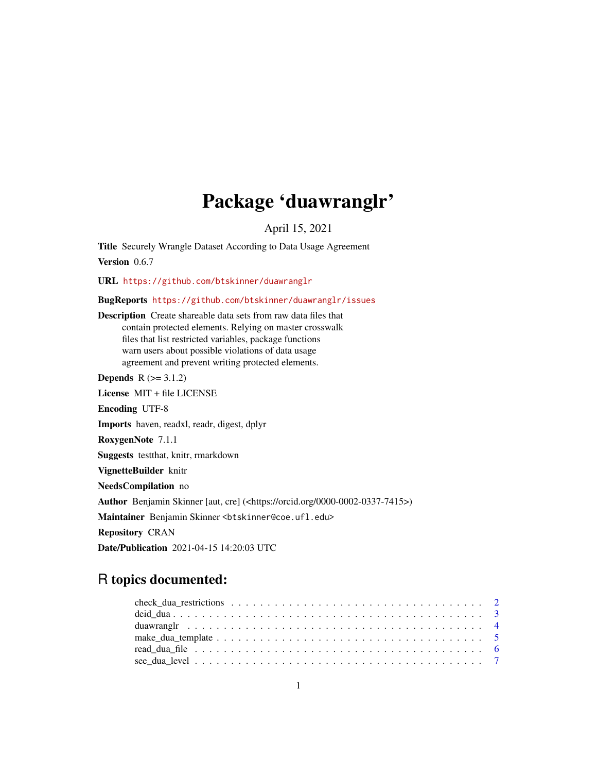# Package 'duawranglr'

April 15, 2021

Title Securely Wrangle Dataset According to Data Usage Agreement Version 0.6.7

URL <https://github.com/btskinner/duawranglr>

BugReports <https://github.com/btskinner/duawranglr/issues>

Description Create shareable data sets from raw data files that contain protected elements. Relying on master crosswalk files that list restricted variables, package functions warn users about possible violations of data usage agreement and prevent writing protected elements.

**Depends**  $R$  ( $> = 3.1.2$ )

License MIT + file LICENSE Encoding UTF-8 Imports haven, readxl, readr, digest, dplyr RoxygenNote 7.1.1 Suggests testthat, knitr, rmarkdown VignetteBuilder knitr NeedsCompilation no Author Benjamin Skinner [aut, cre] (<https://orcid.org/0000-0002-0337-7415>) Maintainer Benjamin Skinner <br />btskinner@coe.ufl.edu> Repository CRAN

# Date/Publication 2021-04-15 14:20:03 UTC

# R topics documented: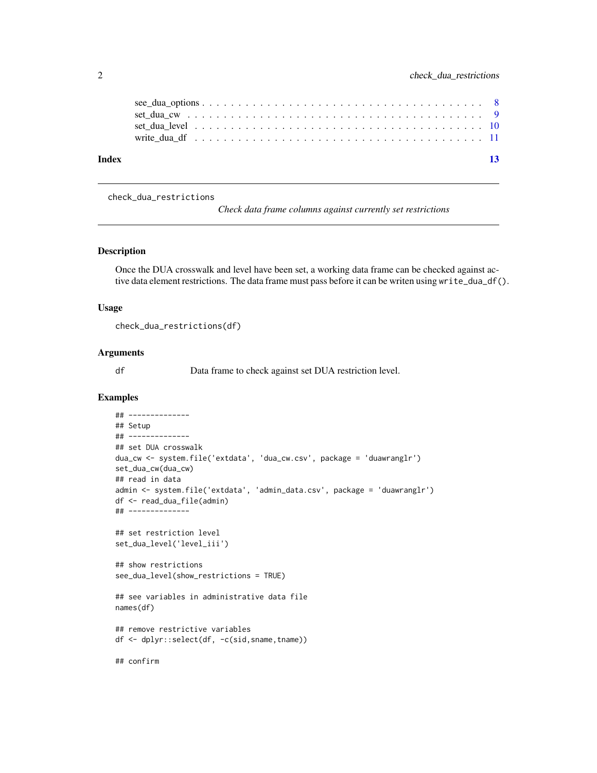<span id="page-1-0"></span>

| Index |  |  |  |  |  |  |  |  |  |  |  |  |  |  |  | 13 |
|-------|--|--|--|--|--|--|--|--|--|--|--|--|--|--|--|----|
|       |  |  |  |  |  |  |  |  |  |  |  |  |  |  |  |    |
|       |  |  |  |  |  |  |  |  |  |  |  |  |  |  |  |    |
|       |  |  |  |  |  |  |  |  |  |  |  |  |  |  |  |    |

check\_dua\_restrictions

*Check data frame columns against currently set restrictions*

# Description

Once the DUA crosswalk and level have been set, a working data frame can be checked against active data element restrictions. The data frame must pass before it can be writen using write\_dua\_df().

#### Usage

check\_dua\_restrictions(df)

#### Arguments

df Data frame to check against set DUA restriction level.

# Examples

```
## --------------
## Setup
## --------------
## set DUA crosswalk
dua_cw <- system.file('extdata', 'dua_cw.csv', package = 'duawranglr')
set_dua_cw(dua_cw)
## read in data
admin <- system.file('extdata', 'admin_data.csv', package = 'duawranglr')
df <- read_dua_file(admin)
## --------------
## set restriction level
set_dua_level('level_iii')
## show restrictions
see_dua_level(show_restrictions = TRUE)
## see variables in administrative data file
names(df)
## remove restrictive variables
df <- dplyr::select(df, -c(sid,sname,tname))
## confirm
```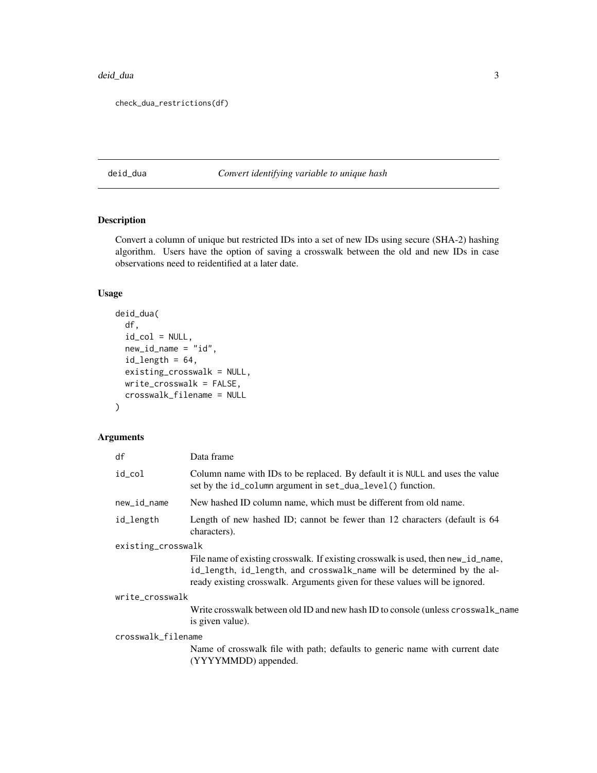#### <span id="page-2-0"></span>deid\_dua 3

```
check_dua_restrictions(df)
```
# deid\_dua *Convert identifying variable to unique hash*

# Description

Convert a column of unique but restricted IDs into a set of new IDs using secure (SHA-2) hashing algorithm. Users have the option of saving a crosswalk between the old and new IDs in case observations need to reidentified at a later date.

# Usage

```
deid_dua(
 df,
  id\_col = NULL,new_id_name = "id",
  id_length = 64,existing_crosswalk = NULL,
 write_crosswalk = FALSE,
 crosswalk_filename = NULL
)
```

| df                 | Data frame                                                                                                                                                                                                                                 |
|--------------------|--------------------------------------------------------------------------------------------------------------------------------------------------------------------------------------------------------------------------------------------|
| id_col             | Column name with IDs to be replaced. By default it is NULL and uses the value<br>set by the id_column argument in set_dua_level() function.                                                                                                |
| new_id_name        | New hashed ID column name, which must be different from old name.                                                                                                                                                                          |
| id_length          | Length of new hashed ID; cannot be fewer than 12 characters (default is 64<br>characters).                                                                                                                                                 |
| existing_crosswalk |                                                                                                                                                                                                                                            |
|                    | File name of existing crosswalk. If existing crosswalk is used, then new_id_name,<br>id_length, id_length, and crosswalk_name will be determined by the al-<br>ready existing crosswalk. Arguments given for these values will be ignored. |
| write_crosswalk    |                                                                                                                                                                                                                                            |
|                    | Write crosswalk between old ID and new hash ID to console (unless crosswalk_name<br>is given value).                                                                                                                                       |
| crosswalk_filename |                                                                                                                                                                                                                                            |
|                    | Name of crosswalk file with path; defaults to generic name with current date<br>(YYYYMMDD) appended.                                                                                                                                       |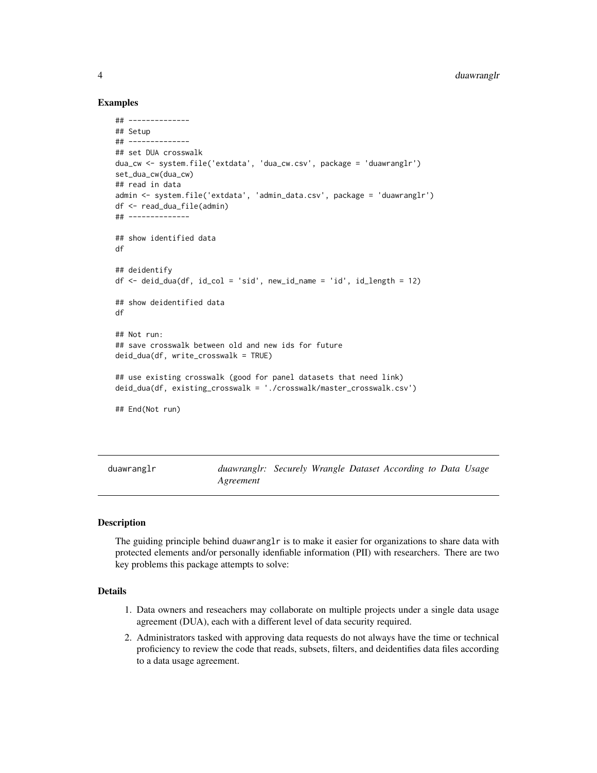# <span id="page-3-0"></span>4 duawranglr

# Examples

```
## --------------
## Setup
## --------------
## set DUA crosswalk
dua_cw <- system.file('extdata', 'dua_cw.csv', package = 'duawranglr')
set_dua_cw(dua_cw)
## read in data
admin <- system.file('extdata', 'admin_data.csv', package = 'duawranglr')
df <- read_dua_file(admin)
## --------------
## show identified data
df
## deidentify
df <- deid_dua(df, id_col = 'sid', new_id_name = 'id', id_length = 12)
## show deidentified data
df
## Not run:
## save crosswalk between old and new ids for future
deid_dua(df, write_crosswalk = TRUE)
## use existing crosswalk (good for panel datasets that need link)
deid_dua(df, existing_crosswalk = './crosswalk/master_crosswalk.csv')
## End(Not run)
```

| duawranglr | duawranglr: Securely Wrangle Dataset According to Data Usage |  |  |  |  |
|------------|--------------------------------------------------------------|--|--|--|--|
|            | Agreement                                                    |  |  |  |  |

#### Description

The guiding principle behind duawranglr is to make it easier for organizations to share data with protected elements and/or personally idenfiable information (PII) with researchers. There are two key problems this package attempts to solve:

# Details

- 1. Data owners and reseachers may collaborate on multiple projects under a single data usage agreement (DUA), each with a different level of data security required.
- 2. Administrators tasked with approving data requests do not always have the time or technical proficiency to review the code that reads, subsets, filters, and deidentifies data files according to a data usage agreement.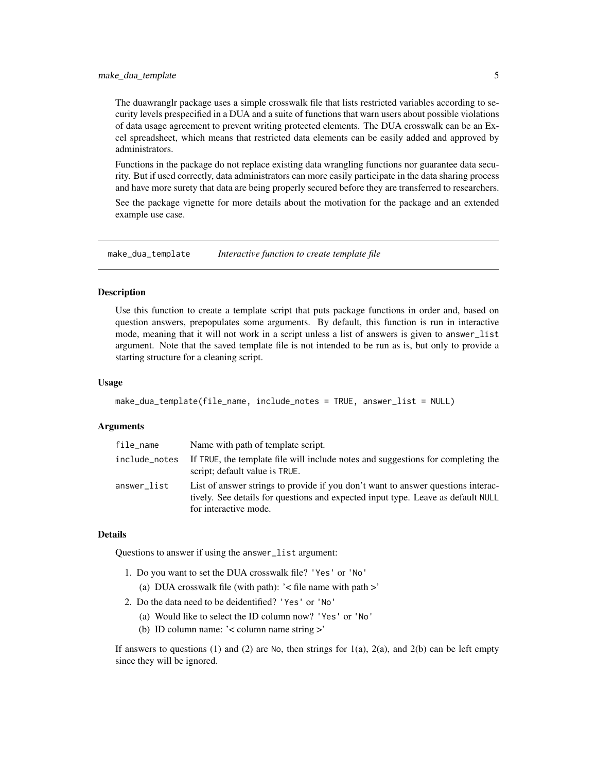<span id="page-4-0"></span>The duawranglr package uses a simple crosswalk file that lists restricted variables according to security levels prespecified in a DUA and a suite of functions that warn users about possible violations of data usage agreement to prevent writing protected elements. The DUA crosswalk can be an Excel spreadsheet, which means that restricted data elements can be easily added and approved by administrators.

Functions in the package do not replace existing data wrangling functions nor guarantee data security. But if used correctly, data administrators can more easily participate in the data sharing process and have more surety that data are being properly secured before they are transferred to researchers.

See the package vignette for more details about the motivation for the package and an extended example use case.

make\_dua\_template *Interactive function to create template file*

#### Description

Use this function to create a template script that puts package functions in order and, based on question answers, prepopulates some arguments. By default, this function is run in interactive mode, meaning that it will not work in a script unless a list of answers is given to answer\_list argument. Note that the saved template file is not intended to be run as is, but only to provide a starting structure for a cleaning script.

# Usage

```
make_dua_template(file_name, include_notes = TRUE, answer_list = NULL)
```
# Arguments

| file_name     | Name with path of template script.                                                                                                                                                            |
|---------------|-----------------------------------------------------------------------------------------------------------------------------------------------------------------------------------------------|
| include_notes | If TRUE, the template file will include notes and suggestions for completing the<br>script; default value is TRUE.                                                                            |
| answer_list   | List of answer strings to provide if you don't want to answer questions interac-<br>tively. See details for questions and expected input type. Leave as default NULL<br>for interactive mode. |

### **Details**

Questions to answer if using the answer\_list argument:

- 1. Do you want to set the DUA crosswalk file? 'Yes' or 'No'
	- (a) DUA crosswalk file (with path): '< file name with path >'
- 2. Do the data need to be deidentified? 'Yes' or 'No'
	- (a) Would like to select the ID column now? 'Yes' or 'No'
	- (b) ID column name: '< column name string >'

If answers to questions  $(1)$  and  $(2)$  are No, then strings for  $1(a)$ ,  $2(a)$ , and  $2(b)$  can be left empty since they will be ignored.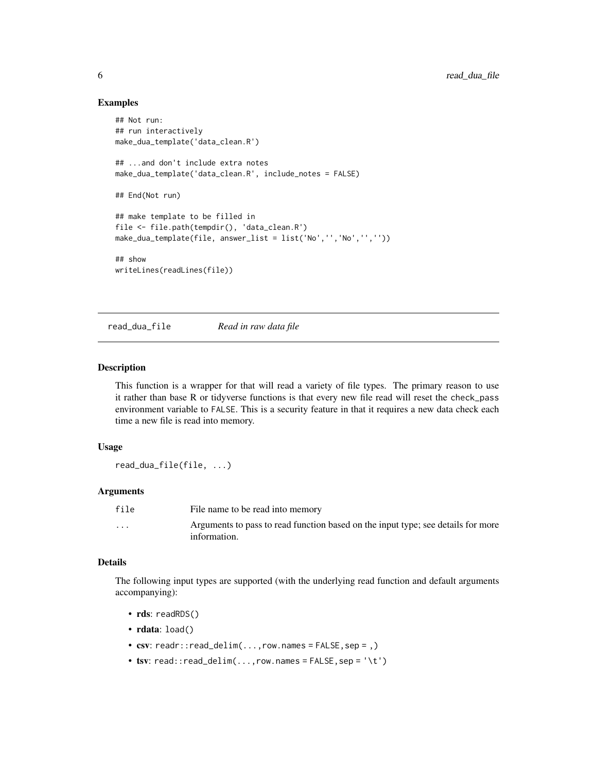# Examples

```
## Not run:
## run interactively
make_dua_template('data_clean.R')
## ...and don't include extra notes
make_dua_template('data_clean.R', include_notes = FALSE)
## End(Not run)
## make template to be filled in
file <- file.path(tempdir(), 'data_clean.R')
make_dua_template(file, answer_list = list('No','','No','',''))
## show
writeLines(readLines(file))
```
read\_dua\_file *Read in raw data file*

#### Description

This function is a wrapper for that will read a variety of file types. The primary reason to use it rather than base R or tidyverse functions is that every new file read will reset the check\_pass environment variable to FALSE. This is a security feature in that it requires a new data check each time a new file is read into memory.

#### Usage

```
read_dua_file(file, ...)
```
#### Arguments

| file     | File name to be read into memory                                                                 |
|----------|--------------------------------------------------------------------------------------------------|
| $\cdots$ | Arguments to pass to read function based on the input type; see details for more<br>information. |

# Details

The following input types are supported (with the underlying read function and default arguments accompanying):

- rds: readRDS()
- rdata: load()
- $\text{csv:}$  readr:: read\_delim(..., row. names = FALSE, sep = ,)
- tsv:  $read::read\_delim(...,row.names = FALSE, sep = '\t')$

<span id="page-5-0"></span>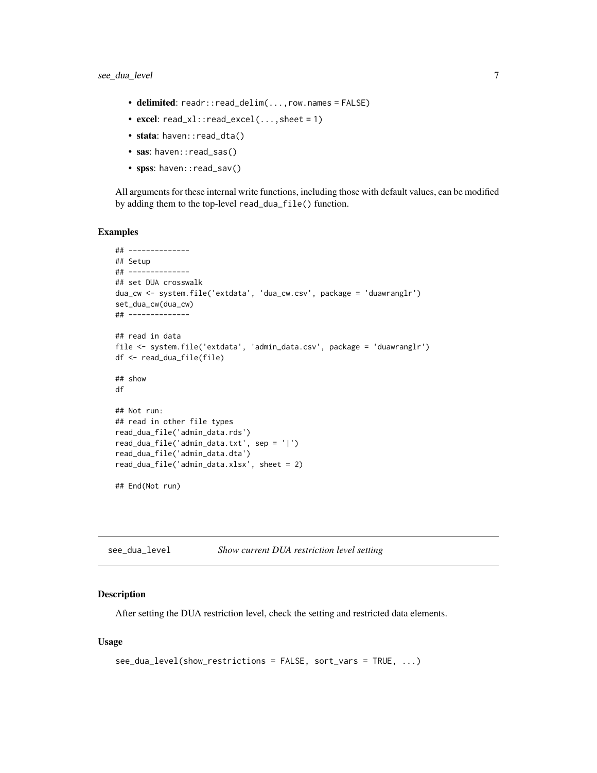- <span id="page-6-0"></span>• delimited: readr::read\_delim(...,row.names = FALSE)
- excel: read\_xl::read\_excel(..., sheet = 1)
- stata: haven::read\_dta()
- sas: haven::read\_sas()
- spss: haven::read\_sav()

All arguments for these internal write functions, including those with default values, can be modified by adding them to the top-level read\_dua\_file() function.

#### Examples

```
## --------------
## Setup
## --------------
## set DUA crosswalk
dua_cw <- system.file('extdata', 'dua_cw.csv', package = 'duawranglr')
set_dua_cw(dua_cw)
## --------------
## read in data
file <- system.file('extdata', 'admin_data.csv', package = 'duawranglr')
df <- read_dua_file(file)
## show
df
## Not run:
## read in other file types
read_dua_file('admin_data.rds')
read_dua_file('admin_data.txt', sep = '|')
read_dua_file('admin_data.dta')
read_dua_file('admin_data.xlsx', sheet = 2)
## End(Not run)
```
see\_dua\_level *Show current DUA restriction level setting*

#### Description

After setting the DUA restriction level, check the setting and restricted data elements.

#### Usage

```
see_dua_level(show_restrictions = FALSE, sort_vars = TRUE, ...)
```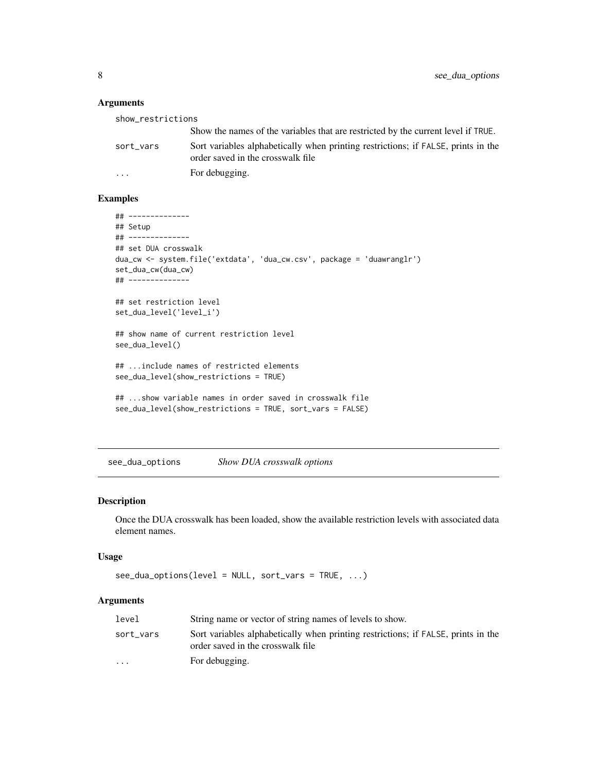# Arguments

| show_restrictions |                                                                                                                        |
|-------------------|------------------------------------------------------------------------------------------------------------------------|
|                   | Show the names of the variables that are restricted by the current level if TRUE.                                      |
| sort_vars         | Sort variables alphabetically when printing restrictions; if FALSE, prints in the<br>order saved in the crosswalk file |
| $\cdot$           | For debugging.                                                                                                         |

# Examples

```
## --------------
## Setup
## --------------
## set DUA crosswalk
dua_cw <- system.file('extdata', 'dua_cw.csv', package = 'duawranglr')
set_dua_cw(dua_cw)
## --------------
## set restriction level
set_dua_level('level_i')
## show name of current restriction level
see_dua_level()
## ...include names of restricted elements
see_dua_level(show_restrictions = TRUE)
## ...show variable names in order saved in crosswalk file
see_dua_level(show_restrictions = TRUE, sort_vars = FALSE)
```
see\_dua\_options *Show DUA crosswalk options*

# Description

Once the DUA crosswalk has been loaded, show the available restriction levels with associated data element names.

#### Usage

```
see\_dua\_options(level = NULL, sort\_vars = TRUE, ...)
```

| level                   | String name or vector of string names of levels to show.                                                               |
|-------------------------|------------------------------------------------------------------------------------------------------------------------|
| sort vars               | Sort variables alphabetically when printing restrictions; if FALSE, prints in the<br>order saved in the crosswalk file |
| $\cdot$ $\cdot$ $\cdot$ | For debugging.                                                                                                         |

<span id="page-7-0"></span>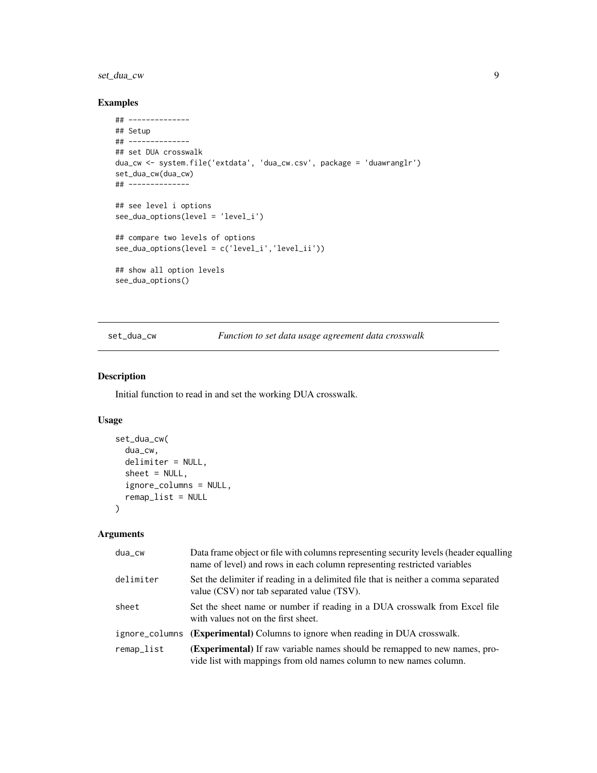# <span id="page-8-0"></span>set\_dua\_cw 9

# Examples

```
## --------------
## Setup
## --------------
## set DUA crosswalk
dua_cw <- system.file('extdata', 'dua_cw.csv', package = 'duawranglr')
set_dua_cw(dua_cw)
## --------------
## see level i options
see_dua_options(level = 'level_i')
## compare two levels of options
see_dua_options(level = c('level_i','level_ii'))
## show all option levels
see_dua_options()
```
set\_dua\_cw *Function to set data usage agreement data crosswalk*

# Description

Initial function to read in and set the working DUA crosswalk.

# Usage

```
set_dua_cw(
  dua_cw,
  delimiter = NULL,
  sheet = NULL,ignore_columns = NULL,
  remap_list = NULL
\mathcal{L}
```

| dua_cw     | Data frame object or file with columns representing security levels (header equalling<br>name of level) and rows in each column representing restricted variables |
|------------|-------------------------------------------------------------------------------------------------------------------------------------------------------------------|
| delimiter  | Set the delimiter if reading in a delimited file that is neither a comma separated<br>value (CSV) nor tab separated value (TSV).                                  |
| sheet      | Set the sheet name or number if reading in a DUA crosswalk from Excel file<br>with values not on the first sheet.                                                 |
|            | ignore_columns ( <b>Experimental</b> ) Columns to ignore when reading in DUA crosswalk.                                                                           |
| remap_list | <b>(Experimental)</b> If raw variable names should be remapped to new names, pro-<br>vide list with mappings from old names column to new names column.           |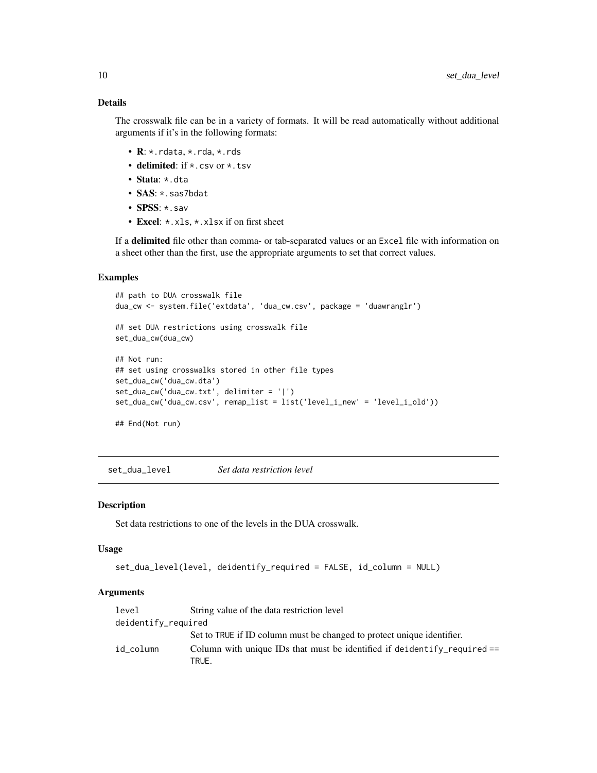# Details

The crosswalk file can be in a variety of formats. It will be read automatically without additional arguments if it's in the following formats:

- R: \*.rdata, \*.rda, \*.rds
- delimited: if \*.csv or \*.tsv
- Stata: \*.dta
- SAS: \*. sas7bdat
- SPSS: \*. sav
- Excel: \*. xls, \*. xlsx if on first sheet

If a delimited file other than comma- or tab-separated values or an Excel file with information on a sheet other than the first, use the appropriate arguments to set that correct values.

# Examples

```
## path to DUA crosswalk file
dua_cw <- system.file('extdata', 'dua_cw.csv', package = 'duawranglr')
## set DUA restrictions using crosswalk file
set_dua_cw(dua_cw)
## Not run:
## set using crosswalks stored in other file types
set_dua_cw('dua_cw.dta')
set_dua_cw('dua_cw.txt', delimiter = '|')
set_dua_cw('dua_cw.csv', remap_list = list('level_i_new' = 'level_i_old'))
## End(Not run)
```
set\_dua\_level *Set data restriction level*

# Description

Set data restrictions to one of the levels in the DUA crosswalk.

#### Usage

```
set_dua_level(level, deidentify_required = FALSE, id_column = NULL)
```

| level               | String value of the data restriction level                                          |
|---------------------|-------------------------------------------------------------------------------------|
| deidentify_required |                                                                                     |
|                     | Set to TRUE if ID column must be changed to protect unique identifier.              |
| id column           | Column with unique IDs that must be identified if deidentify required $==$<br>TRUE. |

<span id="page-9-0"></span>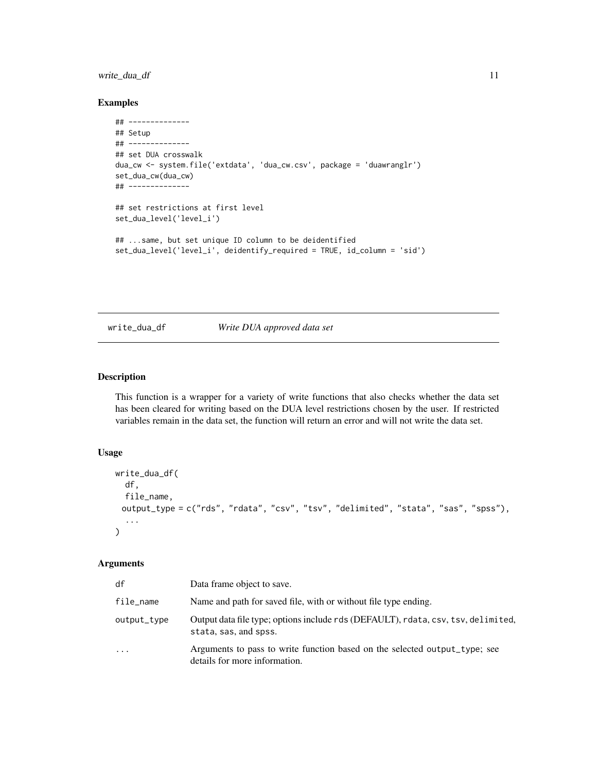# <span id="page-10-0"></span>write\_dua\_df 11

# Examples

```
## --------------
## Setup
## --------------
## set DUA crosswalk
dua_cw <- system.file('extdata', 'dua_cw.csv', package = 'duawranglr')
set_dua_cw(dua_cw)
## --------------
## set restrictions at first level
set_dua_level('level_i')
## ...same, but set unique ID column to be deidentified
set_dua_level('level_i', deidentify_required = TRUE, id_column = 'sid')
```
# write\_dua\_df *Write DUA approved data set*

# Description

This function is a wrapper for a variety of write functions that also checks whether the data set has been cleared for writing based on the DUA level restrictions chosen by the user. If restricted variables remain in the data set, the function will return an error and will not write the data set.

# Usage

```
write_dua_df(
  df,
  file_name,
 output_type = c("rds", "rdata", "csv", "tsv", "delimited", "stata", "sas", "spss"),
  ...
\mathcal{L}
```

| df          | Data frame object to save.                                                                                  |
|-------------|-------------------------------------------------------------------------------------------------------------|
| file_name   | Name and path for saved file, with or without file type ending.                                             |
| output_type | Output data file type; options include rds (DEFAULT), rdata, csv, tsv, delimited,<br>stata, sas, and spss.  |
| .           | Arguments to pass to write function based on the selected output_type; see<br>details for more information. |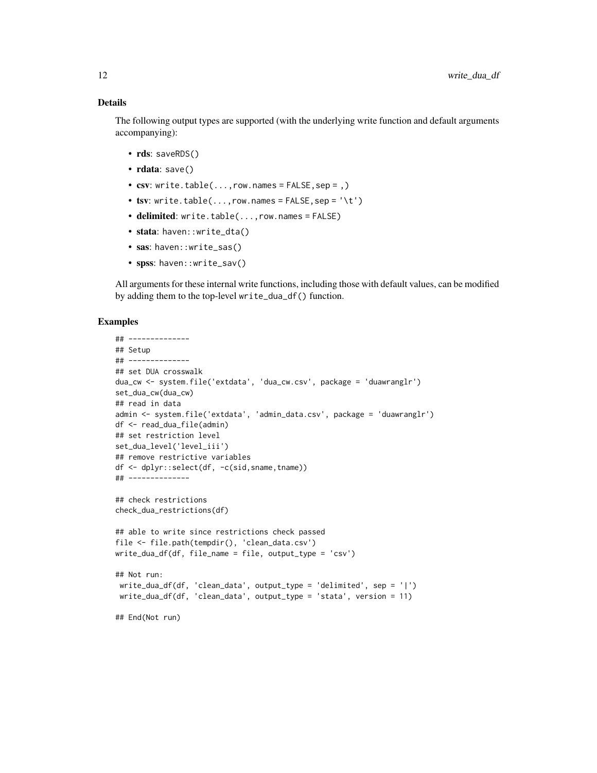### Details

The following output types are supported (with the underlying write function and default arguments accompanying):

- rds: saveRDS()
- rdata: save()
- $\text{csv: write.table}(\ldots, \text{row.names} = \text{FALSE}, \text{sep} = \ldots)$
- tsv: write.table( $\dots$ , row.names = FALSE, sep = '\t')
- delimited: write.table(...,row.names = FALSE)
- stata: haven::write\_dta()
- sas: haven::write\_sas()
- spss: haven::write\_sav()

All arguments for these internal write functions, including those with default values, can be modified by adding them to the top-level write\_dua\_df() function.

# Examples

```
## --------------
## Setup
## --------------
## set DUA crosswalk
dua_cw <- system.file('extdata', 'dua_cw.csv', package = 'duawranglr')
set_dua_cw(dua_cw)
## read in data
admin <- system.file('extdata', 'admin_data.csv', package = 'duawranglr')
df <- read_dua_file(admin)
## set restriction level
set_dua_level('level_iii')
## remove restrictive variables
df <- dplyr::select(df, -c(sid,sname,tname))
## --------------
## check restrictions
check_dua_restrictions(df)
## able to write since restrictions check passed
file <- file.path(tempdir(), 'clean_data.csv')
write_dua_df(df, file_name = file, output_type = 'csv')
## Not run:
write_dua_df(df, 'clean_data', output_type = 'delimited', sep = '|')
 write_dua_df(df, 'clean_data', output_type = 'stata', version = 11)
## End(Not run)
```